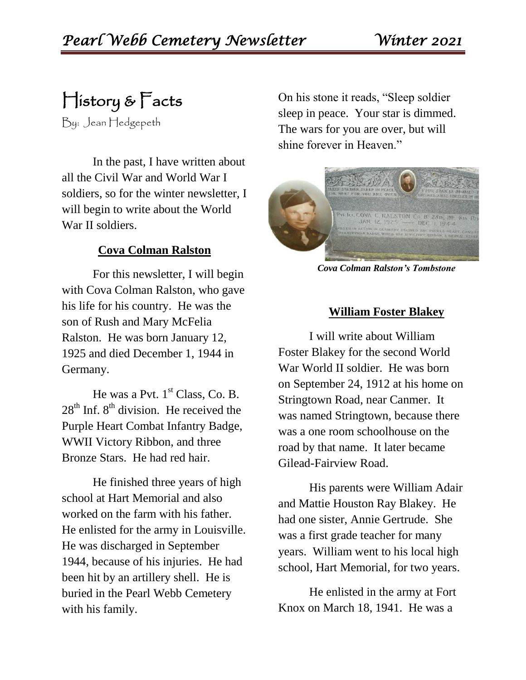History & Facts

By: Jean Hedgepeth

In the past, I have written about all the Civil War and World War I soldiers, so for the winter newsletter, I will begin to write about the World War II soldiers.

#### **Cova Colman Ralston**

For this newsletter, I will begin with Cova Colman Ralston, who gave his life for his country. He was the son of Rush and Mary McFelia Ralston. He was born January 12, 1925 and died December 1, 1944 in Germany.

He was a Pvt.  $1<sup>st</sup>$  Class, Co. B.  $28<sup>th</sup>$  Inf.  $8<sup>th</sup>$  division. He received the Purple Heart Combat Infantry Badge, WWII Victory Ribbon, and three Bronze Stars. He had red hair.

He finished three years of high school at Hart Memorial and also worked on the farm with his father. He enlisted for the army in Louisville. He was discharged in September 1944, because of his injuries. He had been hit by an artillery shell. He is buried in the Pearl Webb Cemetery with his family.

On his stone it reads, "Sleep soldier sleep in peace. Your star is dimmed. The wars for you are over, but will shine forever in Heaven."



*Cova Colman Ralston's Tombstone*

#### **William Foster Blakey**

I will write about William Foster Blakey for the second World War World II soldier. He was born on September 24, 1912 at his home on Stringtown Road, near Canmer. It was named Stringtown, because there was a one room schoolhouse on the road by that name. It later became Gilead-Fairview Road.

His parents were William Adair and Mattie Houston Ray Blakey. He had one sister, Annie Gertrude. She was a first grade teacher for many years. William went to his local high school, Hart Memorial, for two years.

He enlisted in the army at Fort Knox on March 18, 1941. He was a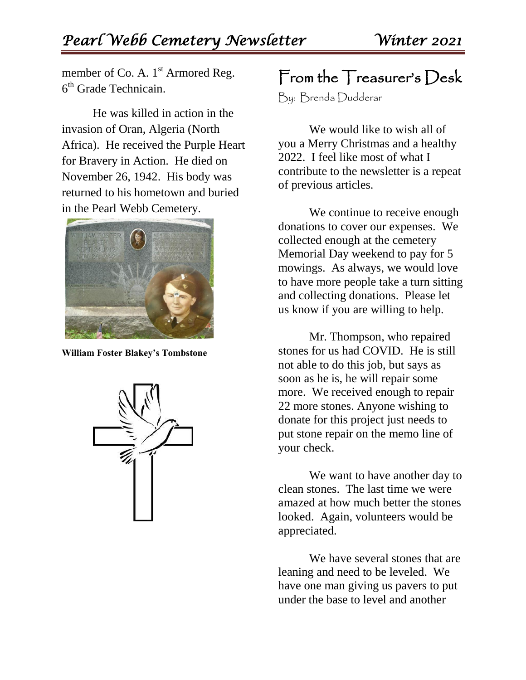member of Co. A.  $1<sup>st</sup>$  Armored Reg. 6<sup>th</sup> Grade Technicain.

He was killed in action in the invasion of Oran, Algeria (North Africa). He received the Purple Heart for Bravery in Action. He died on November 26, 1942. His body was returned to his hometown and buried in the Pearl Webb Cemetery.



**William Foster Blakey's Tombstone**



### From the Treasurer's Desk

By: Brenda Dudderar

We would like to wish all of you a Merry Christmas and a healthy 2022. I feel like most of what I contribute to the newsletter is a repeat of previous articles.

We continue to receive enough donations to cover our expenses. We collected enough at the cemetery Memorial Day weekend to pay for 5 mowings. As always, we would love to have more people take a turn sitting and collecting donations. Please let us know if you are willing to help.

Mr. Thompson, who repaired stones for us had COVID. He is still not able to do this job, but says as soon as he is, he will repair some more. We received enough to repair 22 more stones. Anyone wishing to donate for this project just needs to put stone repair on the memo line of your check.

We want to have another day to clean stones. The last time we were amazed at how much better the stones looked. Again, volunteers would be appreciated.

We have several stones that are leaning and need to be leveled. We have one man giving us pavers to put under the base to level and another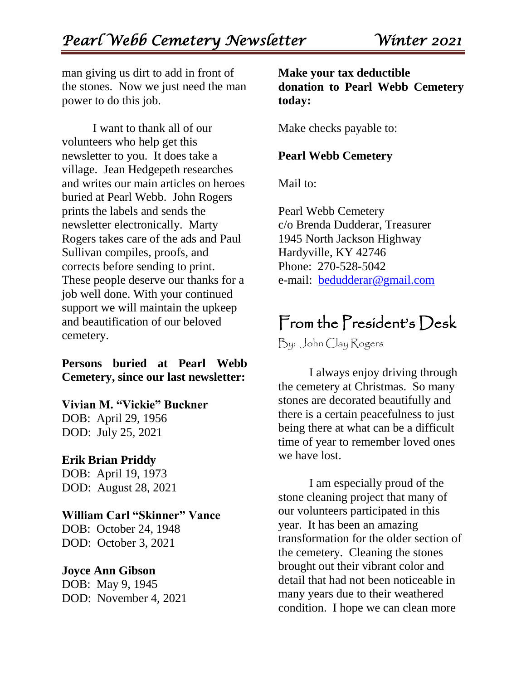man giving us dirt to add in front of the stones. Now we just need the man power to do this job.

I want to thank all of our volunteers who help get this newsletter to you. It does take a village. Jean Hedgepeth researches and writes our main articles on heroes buried at Pearl Webb. John Rogers prints the labels and sends the newsletter electronically. Marty Rogers takes care of the ads and Paul Sullivan compiles, proofs, and corrects before sending to print. These people deserve our thanks for a job well done. With your continued support we will maintain the upkeep and beautification of our beloved cemetery.

#### **Persons buried at Pearl Webb Cemetery, since our last newsletter:**

#### **Vivian M. "Vickie" Buckner**

DOB: April 29, 1956 DOD: July 25, 2021

#### **Erik Brian Priddy**

DOB: April 19, 1973 DOD: August 28, 2021

#### **William Carl "Skinner" Vance**

DOB: October 24, 1948 DOD: October 3, 2021

#### **Joyce Ann Gibson**

DOB: May 9, 1945 DOD: November 4, 2021

#### **Make your tax deductible donation to Pearl Webb Cemetery today:**

Make checks payable to:

#### **Pearl Webb Cemetery**

Mail to:

Pearl Webb Cemetery c/o Brenda Dudderar, Treasurer 1945 North Jackson Highway Hardyville, KY 42746 Phone: 270-528-5042 e-mail: [bedudderar@gmail.com](mailto:bedudderar@gmail.com)

## From the President's Desk

By: John Clay Rogers

I always enjoy driving through the cemetery at Christmas. So many stones are decorated beautifully and there is a certain peacefulness to just being there at what can be a difficult time of year to remember loved ones we have lost.

I am especially proud of the stone cleaning project that many of our volunteers participated in this year. It has been an amazing transformation for the older section of the cemetery. Cleaning the stones brought out their vibrant color and detail that had not been noticeable in many years due to their weathered condition. I hope we can clean more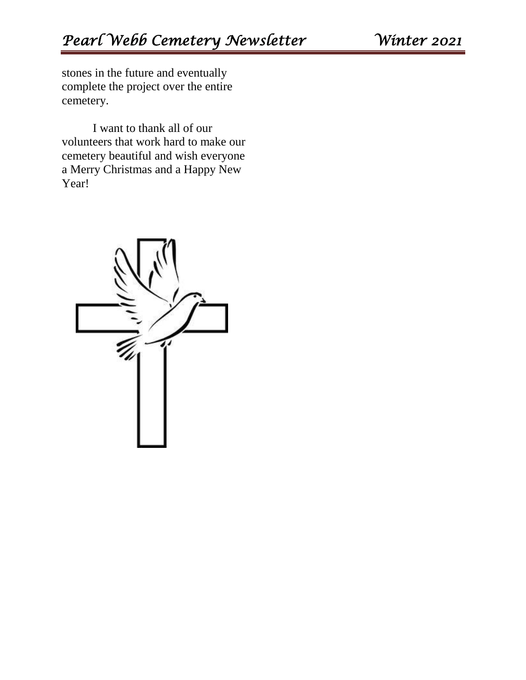stones in the future and eventually complete the project over the entire cemetery.

I want to thank all of our volunteers that work hard to make our cemetery beautiful and wish everyone a Merry Christmas and a Happy New Year!